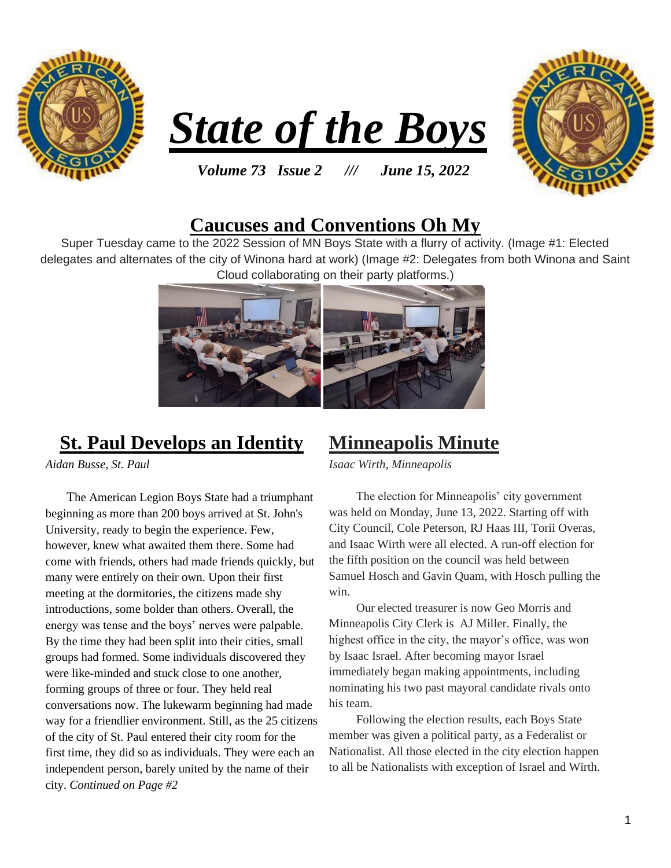





#### *Volume 73 Issue 2 /// June 15, 2022*

### **Caucuses and Conventions Oh My**

Super Tuesday came to the 2022 Session of MN Boys State with a flurry of activity. (Image #1: Elected delegates and alternates of the city of Winona hard at work) (Image #2: Delegates from both Winona and Saint Cloud collaborating on their party platforms.)



## **St. Paul Develops an Identity**

*Aidan Busse, St. Paul*

The American Legion Boys State had a triumphant beginning as more than 200 boys arrived at St. John's University, ready to begin the experience. Few, however, knew what awaited them there. Some had come with friends, others had made friends quickly, but many were entirely on their own. Upon their first meeting at the dormitories, the citizens made shy introductions, some bolder than others. Overall, the energy was tense and the boys' nerves were palpable. By the time they had been split into their cities, small groups had formed. Some individuals discovered they were like-minded and stuck close to one another, forming groups of three or four. They held real conversations now. The lukewarm beginning had made way for a friendlier environment. Still, as the 25 citizens of the city of St. Paul entered their city room for the first time, they did so as individuals. They were each an independent person, barely united by the name of their city. *Continued on Page #2*

### **Minneapolis Minute**

*Isaac Wirth, Minneapolis*

 The election for Minneapolis' city government was held on Monday, June 13, 2022. Starting off with City Council, Cole Peterson, RJ Haas III, Torii Overas, and Isaac Wirth were all elected. A run-off election for the fifth position on the council was held between Samuel Hosch and Gavin Quam, with Hosch pulling the win.

 Our elected treasurer is now Geo Morris and Minneapolis City Clerk is AJ Miller. Finally, the highest office in the city, the mayor's office, was won by Isaac Israel. After becoming mayor Israel immediately began making appointments, including nominating his two past mayoral candidate rivals onto his team.

 Following the election results, each Boys State member was given a political party, as a Federalist or Nationalist. All those elected in the city election happen to all be Nationalists with exception of Israel and Wirth.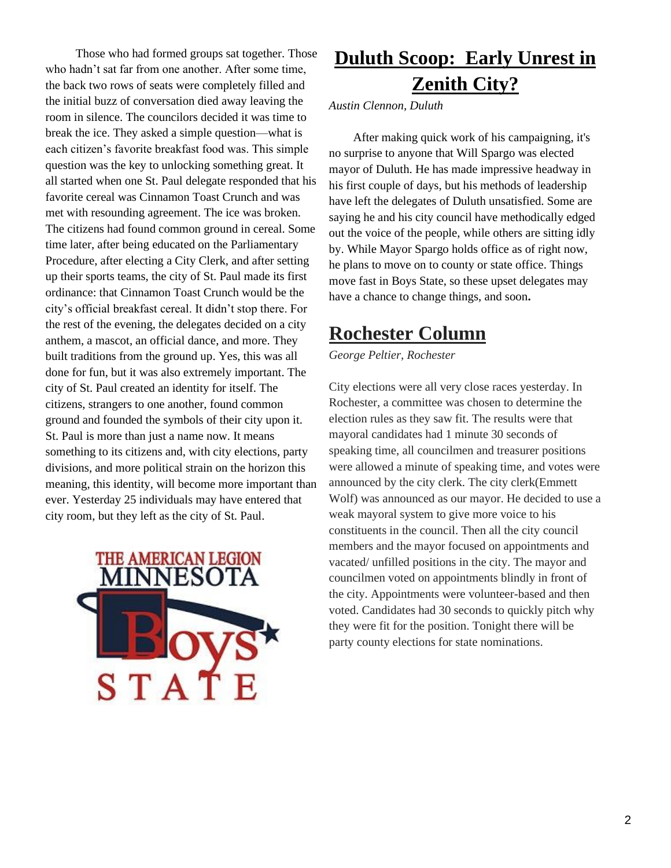Those who had formed groups sat together. Those who hadn't sat far from one another. After some time, the back two rows of seats were completely filled and the initial buzz of conversation died away leaving the room in silence. The councilors decided it was time to break the ice. They asked a simple question—what is each citizen's favorite breakfast food was. This simple question was the key to unlocking something great. It all started when one St. Paul delegate responded that his favorite cereal was Cinnamon Toast Crunch and was met with resounding agreement. The ice was broken. The citizens had found common ground in cereal. Some time later, after being educated on the Parliamentary Procedure, after electing a City Clerk, and after setting up their sports teams, the city of St. Paul made its first ordinance: that Cinnamon Toast Crunch would be the city's official breakfast cereal. It didn't stop there. For the rest of the evening, the delegates decided on a city anthem, a mascot, an official dance, and more. They built traditions from the ground up. Yes, this was all done for fun, but it was also extremely important. The city of St. Paul created an identity for itself. The citizens, strangers to one another, found common ground and founded the symbols of their city upon it. St. Paul is more than just a name now. It means something to its citizens and, with city elections, party divisions, and more political strain on the horizon this meaning, this identity, will become more important than ever. Yesterday 25 individuals may have entered that city room, but they left as the city of St. Paul.



# **Duluth Scoop: Early Unrest in Zenith City?**

*Austin Clennon, Duluth*

 After making quick work of his campaigning, it's no surprise to anyone that Will Spargo was elected mayor of Duluth. He has made impressive headway in his first couple of days, but his methods of leadership have left the delegates of Duluth unsatisfied. Some are saying he and his city council have methodically edged out the voice of the people, while others are sitting idly by. While Mayor Spargo holds office as of right now, he plans to move on to county or state office. Things move fast in Boys State, so these upset delegates may have a chance to change things, and soon**.** 

## **Rochester Column**

*George Peltier, Rochester*

City elections were all very close races yesterday. In Rochester, a committee was chosen to determine the election rules as they saw fit. The results were that mayoral candidates had 1 minute 30 seconds of speaking time, all councilmen and treasurer positions were allowed a minute of speaking time, and votes were announced by the city clerk. The city clerk(Emmett Wolf) was announced as our mayor. He decided to use a weak mayoral system to give more voice to his constituents in the council. Then all the city council members and the mayor focused on appointments and vacated/ unfilled positions in the city. The mayor and councilmen voted on appointments blindly in front of the city. Appointments were volunteer-based and then voted. Candidates had 30 seconds to quickly pitch why they were fit for the position. Tonight there will be party county elections for state nominations.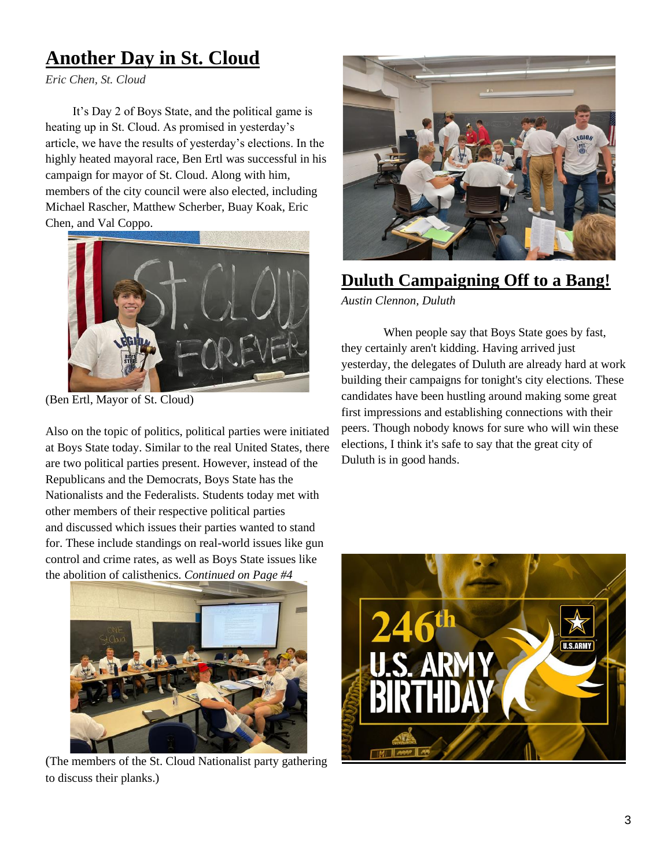# **Another Day in St. Cloud**

*Eric Chen, St. Cloud*

 It's Day 2 of Boys State, and the political game is heating up in St. Cloud. As promised in yesterday's article, we have the results of yesterday's elections. In the highly heated mayoral race, Ben Ertl was successful in his campaign for mayor of St. Cloud. Along with him, members of the city council were also elected, including Michael Rascher, Matthew Scherber, Buay Koak, Eric Chen, and Val Coppo.



(Ben Ertl, Mayor of St. Cloud)

Also on the topic of politics, political parties were initiated at Boys State today. Similar to the real United States, there are two political parties present. However, instead of the Republicans and the Democrats, Boys State has the Nationalists and the Federalists. Students today met with other members of their respective political parties and discussed which issues their parties wanted to stand for. These include standings on real-world issues like gun control and crime rates, as well as Boys State issues like the abolition of calisthenics. *Continued on Page #4*



(The members of the St. Cloud Nationalist party gathering to discuss their planks.)



#### **Duluth Campaigning Off to a Bang!**

*Austin Clennon, Duluth*

 When people say that Boys State goes by fast, they certainly aren't kidding. Having arrived just yesterday, the delegates of Duluth are already hard at work building their campaigns for tonight's city elections. These candidates have been hustling around making some great first impressions and establishing connections with their peers. Though nobody knows for sure who will win these elections, I think it's safe to say that the great city of Duluth is in good hands.

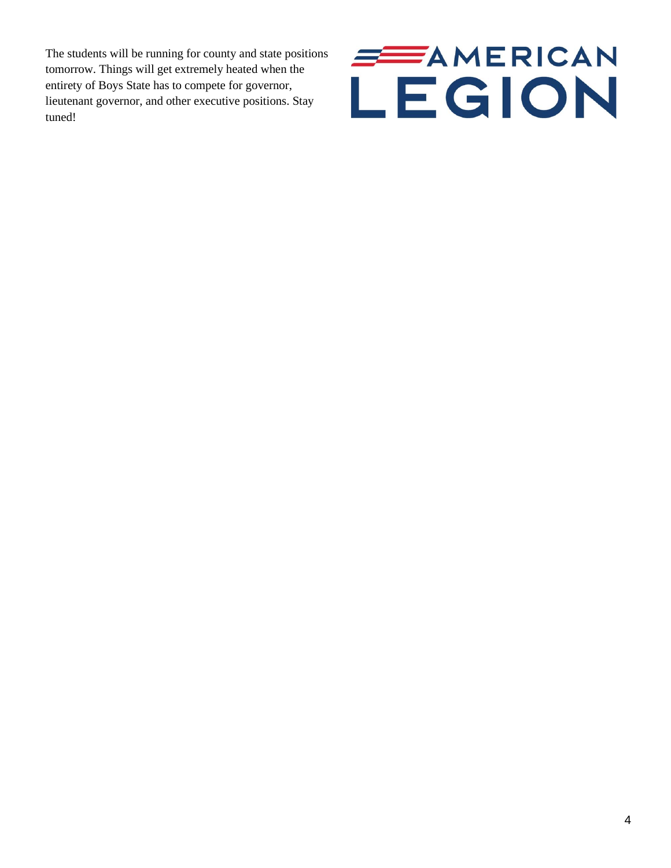The students will be running for county and state positions tomorrow. Things will get extremely heated when the entirety of Boys State has to compete for governor, lieutenant governor, and other executive positions. Stay tuned!

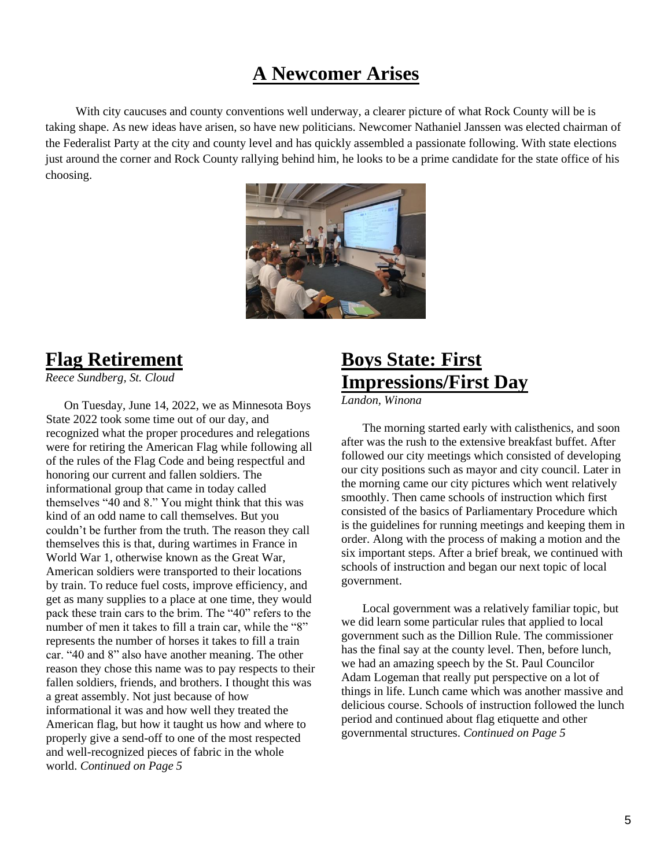# **A Newcomer Arises**

 With city caucuses and county conventions well underway, a clearer picture of what Rock County will be is taking shape. As new ideas have arisen, so have new politicians. Newcomer Nathaniel Janssen was elected chairman of the Federalist Party at the city and county level and has quickly assembled a passionate following. With state elections just around the corner and Rock County rallying behind him, he looks to be a prime candidate for the state office of his choosing.



## **Flag Retirement**

*Reece Sundberg, St. Cloud*

 On Tuesday, June 14, 2022, we as Minnesota Boys State 2022 took some time out of our day, and recognized what the proper procedures and relegations were for retiring the American Flag while following all of the rules of the Flag Code and being respectful and honoring our current and fallen soldiers. The informational group that came in today called themselves "40 and 8." You might think that this was kind of an odd name to call themselves. But you couldn't be further from the truth. The reason they call themselves this is that, during wartimes in France in World War 1, otherwise known as the Great War, American soldiers were transported to their locations by train. To reduce fuel costs, improve efficiency, and get as many supplies to a place at one time, they would pack these train cars to the brim. The "40" refers to the number of men it takes to fill a train car, while the "8" represents the number of horses it takes to fill a train car. "40 and 8" also have another meaning. The other reason they chose this name was to pay respects to their fallen soldiers, friends, and brothers. I thought this was a great assembly. Not just because of how informational it was and how well they treated the American flag, but how it taught us how and where to properly give a send-off to one of the most respected and well-recognized pieces of fabric in the whole world. *Continued on Page 5*

# **Boys State: First Impressions/First Day**

*Landon, Winona*

 The morning started early with calisthenics, and soon after was the rush to the extensive breakfast buffet. After followed our city meetings which consisted of developing our city positions such as mayor and city council. Later in the morning came our city pictures which went relatively smoothly. Then came schools of instruction which first consisted of the basics of Parliamentary Procedure which is the guidelines for running meetings and keeping them in order. Along with the process of making a motion and the six important steps. After a brief break, we continued with schools of instruction and began our next topic of local government.

 Local government was a relatively familiar topic, but we did learn some particular rules that applied to local government such as the Dillion Rule. The commissioner has the final say at the county level. Then, before lunch, we had an amazing speech by the St. Paul Councilor Adam Logeman that really put perspective on a lot of things in life. Lunch came which was another massive and delicious course. Schools of instruction followed the lunch period and continued about flag etiquette and other governmental structures. *Continued on Page 5*